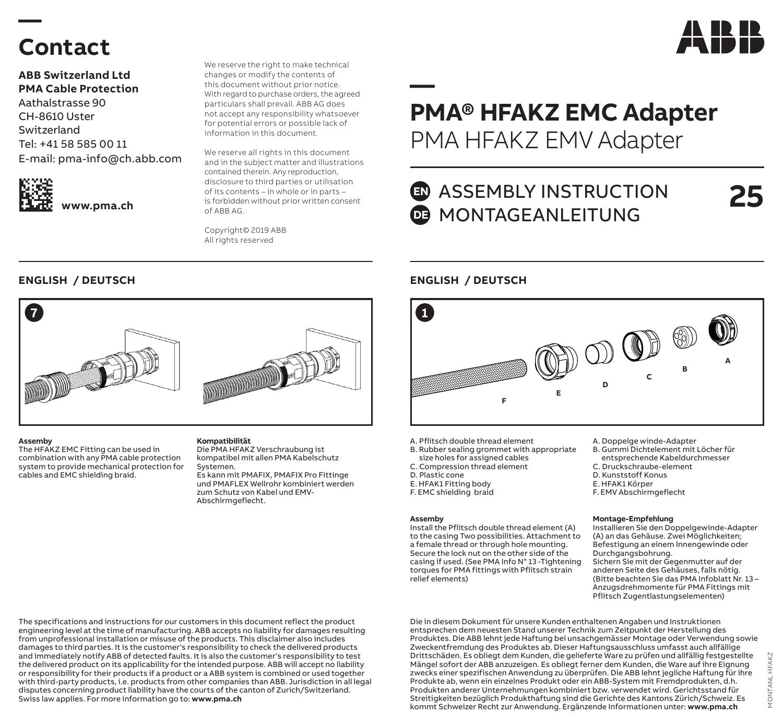

### **Contact**

**—** 

**ABB Switzerland Ltd PMA Cable Protection** Aathalstrasse 90 CH-8610 Uster Switzerland Tel: +41 58 585 00 11 E-mail: pma-info@ch.abb.com



**www.pma.ch**

We reserve the right to make technical changes or modify the contents of this document without prior notice. With regard to purchase orders, the agreed particulars shall prevail. ABB AG does not accept any responsibility whatsoever for potential errors or possible lack of information in this document.

We reserve all rights in this document and in the subject matter and illustrations contained therein. Any reproduction, disclosure to third parties or utilisation of its contents – in whole or in parts – is forbidden without prior written consent of ABB AG.

Copyright© 2019 ABB All rights reserved

### **ENGLISH / DEUTSCH ENGLISH / DEUTSCH**



#### **Assemby**

The HFAKZ EMC Fitting can be used in combination with any PMA cable protection system to provide mechanical protection for cables and EMC shielding braid.

#### **Kompatibilität**

Die PMA HFAKZ Verschraubung ist kompatibel mit allen PMA Kabelschutz Systemen.

Es kann mit PMAFIX, PMAFIX Pro Fittinge und PMAFLEX Wellrohr kombiniert werden zum Schutz von Kabel und EMV-Abschirmgeflecht.

The specifications and instructions for our customers in this document reflect the product engineering level at the time of manufacturing. ABB accepts no liability for damages resulting from unprofessional installation or misuse of the products. This disclaimer also includes damages to third parties. It is the customer's responsibility to check the delivered products and immediately notify ABB of detected faults. It is also the customer's responsibility to test the delivered product on its applicability for the intended purpose. ABB will accept no liability or responsibility for their products if a product or a ABB system is combined or used together with third-party products, i.e. products from other companies than ABB. Jurisdiction in all legal disputes concerning product liability have the courts of the canton of Zurich/Switzerland. Swiss law applies. For more information go to: **www.pma.ch**

### **PMA® HFAKZ EMC Adapter** PMA HFAKZ EMV Adapter

### **ED** ASSEMBLY INSTRUCTION **DE** MONTAGEANLEITUNG

**25**

**—** 



- A. Pflitsch double thread element
- B. Rubber sealing grommet with appropriate
- size holes for assigned cables C. Compression thread element
- D. Plastic cone
- E. HFAK1 Fitting body
- F. EMC shielding braid

#### **Assemby**

Install the Pflitsch double thread element (A) to the casing Two possibilities. Attachment to a female thread or through hole mounting. Secure the lock nut on the other side of the casing if used. (See PMA Info N° 13 -Tightening torques for PMA fittings with Pflitsch strain relief elements)

- A. Doppelge winde-Adapter
- B. Gummi Dichtelement mit Löcher für
- entsprechende Kabeldurchmesser C. Druckschraube-element
- 
- D. Kunststoff Konus
- E. HFAK1 Körper
- F. EMV Abschirmgeflecht

#### **Montage-Empfehlung**

Installieren Sie den Doppelgewinde-Adapter (A) an das Gehäuse. Zwei Möglichkeiten; Befestigung an einem Innengewinde oder Durchgangsbohrung. Sichern Sie mit der Gegenmutter auf der anderen Seite des Gehäuses, falls nötig. (Bitte beachten Sie das PMA Infoblatt Nr. 13 – Anzugsdrehmomente für PMA Fittings mit Pflitsch Zugentlastungselementen)

Die in diesem Dokument für unsere Kunden enthaltenen Angaben und Instruktionen entsprechen dem neuesten Stand unserer Technik zum Zeitpunkt der Herstellung des Produktes. Die ABB lehnt jede Haftung bei unsachgemässer Montage oder Verwendung sowie Zweckentfremdung des Produktes ab. Dieser Haftungsausschluss umfasst auch allfällige Drittschäden. Es obliegt dem Kunden, die gelieferte Ware zu prüfen und allfällig festgestellte Mängel sofort der ABB anzuzeigen. Es obliegt ferner dem Kunden, die Ware auf ihre Eignung zwecks einer spezifischen Anwendung zu überprüfen. Die ABB lehnt jegliche Haftung für ihre Produkte ab, wenn ein einzelnes Produkt oder ein ABB-System mit Fremdprodukten, d.h. Produkten anderer Unternehmungen kombiniert bzw. verwendet wird. Gerichtsstand für Streitigkeiten bezüglich Produkthaftung sind die Gerichte des Kantons Zürich/Schweiz. Es kommt Schweizer Recht zur Anwendung. Ergänzende Informationen unter: **www.pma.ch**